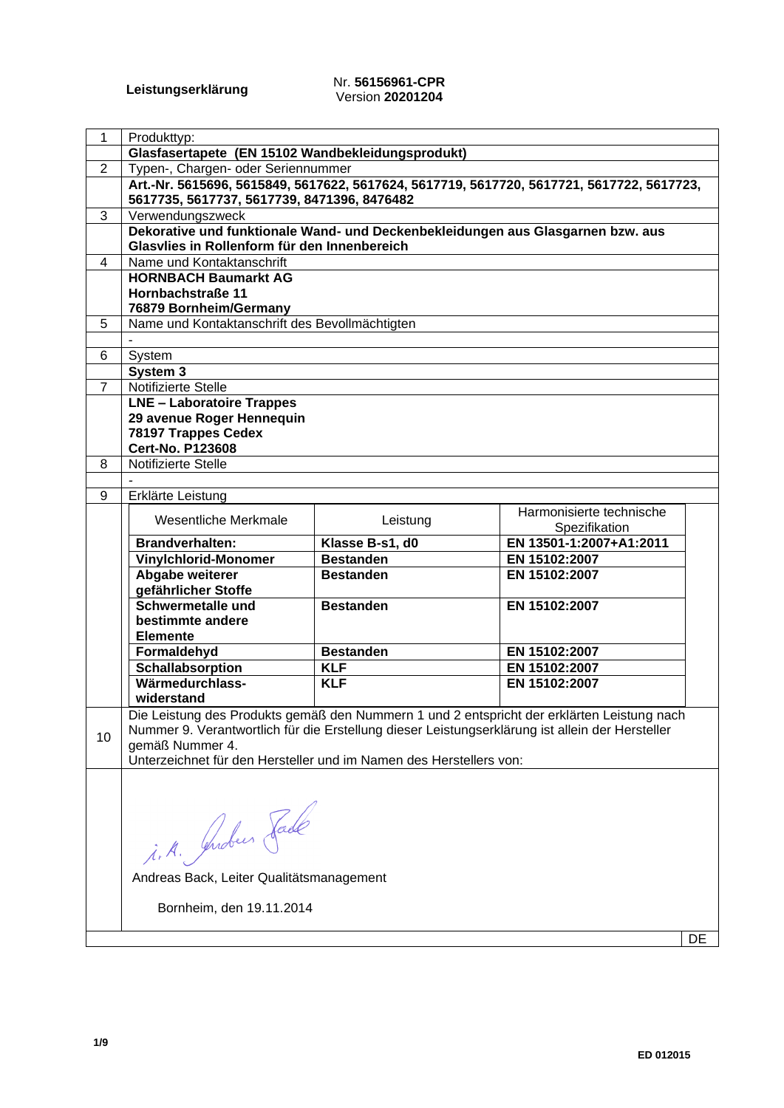#### **Leistungserklärung** Nr. **56156961-CPR** Version **20201204**

| $\mathbf{1}$   | Produkttyp:                                                                                     |                  |                                                                                            |    |
|----------------|-------------------------------------------------------------------------------------------------|------------------|--------------------------------------------------------------------------------------------|----|
|                | Glasfasertapete (EN 15102 Wandbekleidungsprodukt)                                               |                  |                                                                                            |    |
| $\overline{2}$ | Typen-, Chargen- oder Seriennummer                                                              |                  |                                                                                            |    |
|                | Art.-Nr. 5615696, 5615849, 5617622, 5617624, 5617719, 5617720, 5617721, 5617722, 5617723,       |                  |                                                                                            |    |
|                | 5617735, 5617737, 5617739, 8471396, 8476482                                                     |                  |                                                                                            |    |
| $\overline{3}$ | Verwendungszweck                                                                                |                  |                                                                                            |    |
|                | Dekorative und funktionale Wand- und Deckenbekleidungen aus Glasgarnen bzw. aus                 |                  |                                                                                            |    |
|                | Glasvlies in Rollenform für den Innenbereich                                                    |                  |                                                                                            |    |
| 4              | Name und Kontaktanschrift                                                                       |                  |                                                                                            |    |
|                | <b>HORNBACH Baumarkt AG</b>                                                                     |                  |                                                                                            |    |
|                | Hornbachstraße 11                                                                               |                  |                                                                                            |    |
|                | 76879 Bornheim/Germany                                                                          |                  |                                                                                            |    |
| 5              | Name und Kontaktanschrift des Bevollmächtigten                                                  |                  |                                                                                            |    |
|                |                                                                                                 |                  |                                                                                            |    |
| 6              | System                                                                                          |                  |                                                                                            |    |
|                | System 3                                                                                        |                  |                                                                                            |    |
| $\overline{7}$ | Notifizierte Stelle                                                                             |                  |                                                                                            |    |
|                | <b>LNE - Laboratoire Trappes</b>                                                                |                  |                                                                                            |    |
|                | 29 avenue Roger Hennequin                                                                       |                  |                                                                                            |    |
|                | 78197 Trappes Cedex                                                                             |                  |                                                                                            |    |
|                | <b>Cert-No. P123608</b>                                                                         |                  |                                                                                            |    |
| 8              | Notifizierte Stelle                                                                             |                  |                                                                                            |    |
|                |                                                                                                 |                  |                                                                                            |    |
| 9              | Erklärte Leistung                                                                               |                  |                                                                                            |    |
|                | Wesentliche Merkmale                                                                            | Leistung         | Harmonisierte technische<br>Spezifikation                                                  |    |
|                | <b>Brandverhalten:</b>                                                                          | Klasse B-s1, d0  | EN 13501-1:2007+A1:2011                                                                    |    |
|                | <b>Vinylchlorid-Monomer</b>                                                                     | <b>Bestanden</b> | EN 15102:2007                                                                              |    |
|                | Abgabe weiterer                                                                                 | <b>Bestanden</b> | EN 15102:2007                                                                              |    |
|                | gefährlicher Stoffe                                                                             |                  |                                                                                            |    |
|                | Schwermetalle und                                                                               | <b>Bestanden</b> | EN 15102:2007                                                                              |    |
|                | bestimmte andere                                                                                |                  |                                                                                            |    |
|                | <b>Elemente</b>                                                                                 |                  |                                                                                            |    |
|                | Formaldehyd                                                                                     | <b>Bestanden</b> | EN 15102:2007                                                                              |    |
|                | <b>Schallabsorption</b>                                                                         | <b>KLF</b>       | EN 15102:2007                                                                              |    |
|                | Wärmedurchlass-                                                                                 | <b>KLF</b>       | EN 15102:2007                                                                              |    |
|                | widerstand                                                                                      |                  |                                                                                            |    |
|                |                                                                                                 |                  | Die Leistung des Produkts gemäß den Nummern 1 und 2 entspricht der erklärten Leistung nach |    |
|                | Nummer 9. Verantwortlich für die Erstellung dieser Leistungserklärung ist allein der Hersteller |                  |                                                                                            |    |
| 10             | gemäß Nummer 4.                                                                                 |                  |                                                                                            |    |
|                | Unterzeichnet für den Hersteller und im Namen des Herstellers von:                              |                  |                                                                                            |    |
|                |                                                                                                 |                  |                                                                                            |    |
|                |                                                                                                 |                  |                                                                                            |    |
|                |                                                                                                 |                  |                                                                                            |    |
|                |                                                                                                 |                  |                                                                                            |    |
|                | i.A. Grober Fade                                                                                |                  |                                                                                            |    |
|                |                                                                                                 |                  |                                                                                            |    |
|                |                                                                                                 |                  |                                                                                            |    |
|                | Andreas Back, Leiter Qualitätsmanagement                                                        |                  |                                                                                            |    |
|                | Bornheim, den 19.11.2014                                                                        |                  |                                                                                            |    |
|                |                                                                                                 |                  |                                                                                            |    |
|                |                                                                                                 |                  |                                                                                            | DE |
|                |                                                                                                 |                  |                                                                                            |    |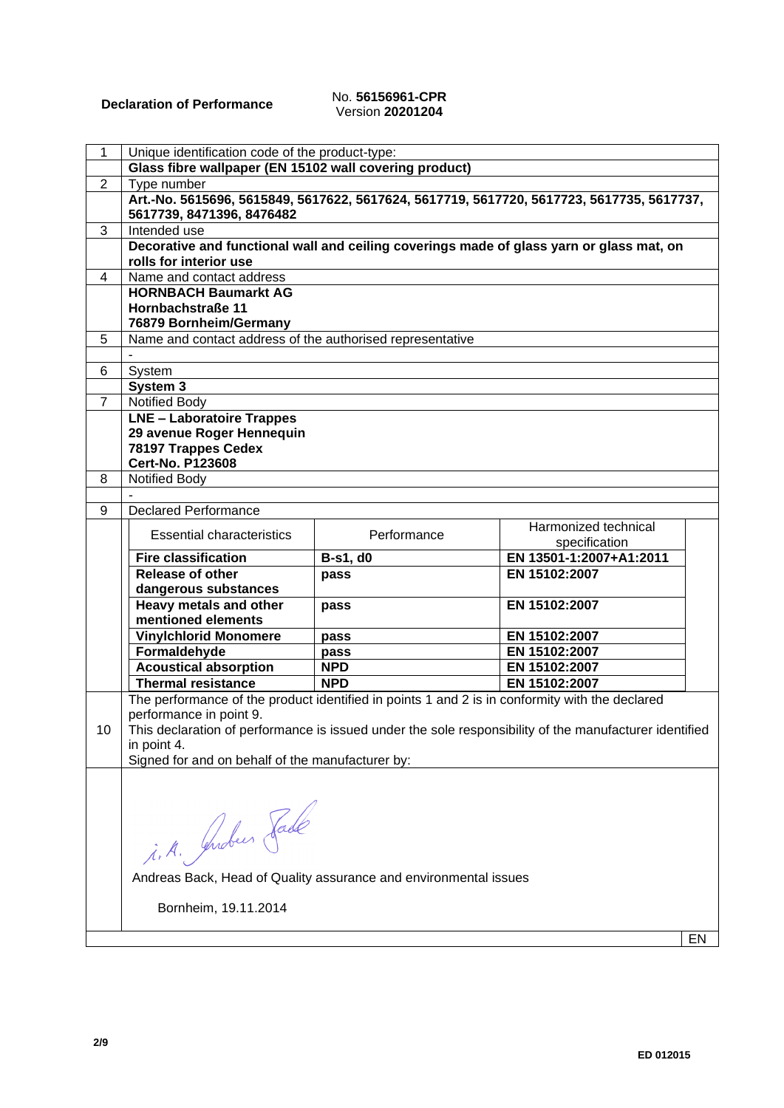## Version **20201204**

| 1              | Unique identification code of the product-type:                                                                        |                                                                  |                                                                                                        |    |  |
|----------------|------------------------------------------------------------------------------------------------------------------------|------------------------------------------------------------------|--------------------------------------------------------------------------------------------------------|----|--|
|                | Glass fibre wallpaper (EN 15102 wall covering product)                                                                 |                                                                  |                                                                                                        |    |  |
| $\overline{2}$ |                                                                                                                        | Type number                                                      |                                                                                                        |    |  |
|                | Art.-No. 5615696, 5615849, 5617622, 5617624, 5617719, 5617720, 5617723, 5617735, 5617737,<br>5617739, 8471396, 8476482 |                                                                  |                                                                                                        |    |  |
| 3              | Intended use                                                                                                           |                                                                  |                                                                                                        |    |  |
|                | rolls for interior use                                                                                                 |                                                                  | Decorative and functional wall and ceiling coverings made of glass yarn or glass mat, on               |    |  |
| 4              | Name and contact address                                                                                               |                                                                  |                                                                                                        |    |  |
|                | <b>HORNBACH Baumarkt AG</b>                                                                                            |                                                                  |                                                                                                        |    |  |
|                | Hornbachstraße 11                                                                                                      |                                                                  |                                                                                                        |    |  |
|                | 76879 Bornheim/Germany                                                                                                 |                                                                  |                                                                                                        |    |  |
| 5              | Name and contact address of the authorised representative                                                              |                                                                  |                                                                                                        |    |  |
|                |                                                                                                                        |                                                                  |                                                                                                        |    |  |
| 6              | System                                                                                                                 |                                                                  |                                                                                                        |    |  |
|                | System 3                                                                                                               |                                                                  |                                                                                                        |    |  |
| $\overline{7}$ | <b>Notified Body</b>                                                                                                   |                                                                  |                                                                                                        |    |  |
|                | <b>LNE - Laboratoire Trappes</b>                                                                                       |                                                                  |                                                                                                        |    |  |
|                | 29 avenue Roger Hennequin                                                                                              |                                                                  |                                                                                                        |    |  |
|                | 78197 Trappes Cedex                                                                                                    |                                                                  |                                                                                                        |    |  |
|                | <b>Cert-No. P123608</b>                                                                                                |                                                                  |                                                                                                        |    |  |
| 8              | <b>Notified Body</b>                                                                                                   |                                                                  |                                                                                                        |    |  |
|                |                                                                                                                        |                                                                  |                                                                                                        |    |  |
| 9              | <b>Declared Performance</b>                                                                                            |                                                                  |                                                                                                        |    |  |
|                | <b>Essential characteristics</b>                                                                                       | Performance                                                      | Harmonized technical                                                                                   |    |  |
|                |                                                                                                                        |                                                                  | specification                                                                                          |    |  |
|                | <b>Fire classification</b>                                                                                             | <b>B-s1, d0</b>                                                  | EN 13501-1:2007+A1:2011                                                                                |    |  |
|                | Release of other                                                                                                       | pass                                                             | EN 15102:2007                                                                                          |    |  |
|                | dangerous substances                                                                                                   |                                                                  |                                                                                                        |    |  |
|                | Heavy metals and other                                                                                                 | pass                                                             | EN 15102:2007                                                                                          |    |  |
|                | mentioned elements                                                                                                     |                                                                  |                                                                                                        |    |  |
|                | <b>Vinylchlorid Monomere</b>                                                                                           | pass                                                             | EN 15102:2007                                                                                          |    |  |
|                | Formaldehyde                                                                                                           | pass                                                             | EN 15102:2007                                                                                          |    |  |
|                | <b>Acoustical absorption</b>                                                                                           | <b>NPD</b>                                                       | EN 15102:2007                                                                                          |    |  |
|                | <b>Thermal resistance</b>                                                                                              | <b>NPD</b>                                                       | EN 15102:2007                                                                                          |    |  |
|                | The performance of the product identified in points 1 and 2 is in conformity with the declared                         |                                                                  |                                                                                                        |    |  |
|                | performance in point 9.                                                                                                |                                                                  |                                                                                                        |    |  |
| 10             |                                                                                                                        |                                                                  | This declaration of performance is issued under the sole responsibility of the manufacturer identified |    |  |
|                | in point 4.<br>Signed for and on behalf of the manufacturer by:                                                        |                                                                  |                                                                                                        |    |  |
|                |                                                                                                                        |                                                                  |                                                                                                        |    |  |
|                |                                                                                                                        |                                                                  |                                                                                                        |    |  |
|                |                                                                                                                        |                                                                  |                                                                                                        |    |  |
|                |                                                                                                                        |                                                                  |                                                                                                        |    |  |
|                |                                                                                                                        |                                                                  |                                                                                                        |    |  |
|                |                                                                                                                        |                                                                  |                                                                                                        |    |  |
|                | i.A. Indees Jade                                                                                                       |                                                                  |                                                                                                        |    |  |
|                |                                                                                                                        | Andreas Back, Head of Quality assurance and environmental issues |                                                                                                        |    |  |
|                |                                                                                                                        |                                                                  |                                                                                                        |    |  |
|                | Bornheim, 19.11.2014                                                                                                   |                                                                  |                                                                                                        |    |  |
|                |                                                                                                                        |                                                                  |                                                                                                        |    |  |
|                |                                                                                                                        |                                                                  |                                                                                                        | EN |  |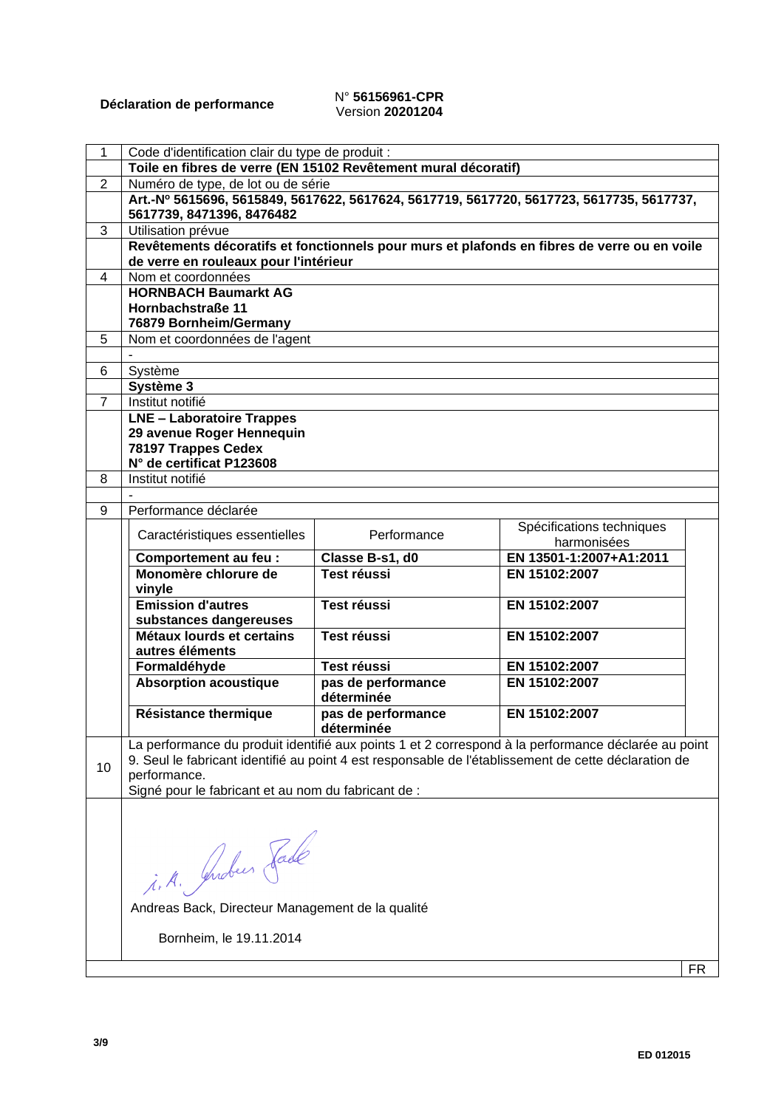#### **Déclaration de performance** N° **56156961-CPR** Version **20201204**

| 1              | Code d'identification clair du type de produit :               |                    |                                                                                                      |  |
|----------------|----------------------------------------------------------------|--------------------|------------------------------------------------------------------------------------------------------|--|
|                | Toile en fibres de verre (EN 15102 Revêtement mural décoratif) |                    |                                                                                                      |  |
| $\overline{2}$ | Numéro de type, de lot ou de série                             |                    |                                                                                                      |  |
|                |                                                                |                    | Art.-Nº 5615696, 5615849, 5617622, 5617624, 5617719, 5617720, 5617723, 5617735, 5617737,             |  |
|                | 5617739, 8471396, 8476482                                      |                    |                                                                                                      |  |
| 3              | Utilisation prévue                                             |                    |                                                                                                      |  |
|                |                                                                |                    | Revêtements décoratifs et fonctionnels pour murs et plafonds en fibres de verre ou en voile          |  |
|                | de verre en rouleaux pour l'intérieur                          |                    |                                                                                                      |  |
| 4              | Nom et coordonnées                                             |                    |                                                                                                      |  |
|                | <b>HORNBACH Baumarkt AG</b>                                    |                    |                                                                                                      |  |
|                | Hornbachstraße 11                                              |                    |                                                                                                      |  |
|                | 76879 Bornheim/Germany                                         |                    |                                                                                                      |  |
| 5              | Nom et coordonnées de l'agent                                  |                    |                                                                                                      |  |
|                |                                                                |                    |                                                                                                      |  |
| 6              | Système                                                        |                    |                                                                                                      |  |
|                | Système 3                                                      |                    |                                                                                                      |  |
| $\overline{7}$ | Institut notifié                                               |                    |                                                                                                      |  |
|                | <b>LNE - Laboratoire Trappes</b>                               |                    |                                                                                                      |  |
|                | 29 avenue Roger Hennequin                                      |                    |                                                                                                      |  |
|                | 78197 Trappes Cedex                                            |                    |                                                                                                      |  |
|                | N° de certificat P123608                                       |                    |                                                                                                      |  |
| 8              | Institut notifié                                               |                    |                                                                                                      |  |
|                |                                                                |                    |                                                                                                      |  |
| 9              | Performance déclarée                                           |                    |                                                                                                      |  |
|                |                                                                |                    | Spécifications techniques                                                                            |  |
|                | Caractéristiques essentielles                                  | Performance        | harmonisées                                                                                          |  |
|                | Comportement au feu :                                          | Classe B-s1, d0    | EN 13501-1:2007+A1:2011                                                                              |  |
|                | Monomère chlorure de                                           | <b>Test réussi</b> | EN 15102:2007                                                                                        |  |
|                | vinyle                                                         |                    |                                                                                                      |  |
|                | <b>Emission d'autres</b>                                       | <b>Test réussi</b> | EN 15102:2007                                                                                        |  |
|                | substances dangereuses                                         |                    |                                                                                                      |  |
|                | Métaux lourds et certains                                      | <b>Test réussi</b> | EN 15102:2007                                                                                        |  |
|                | autres éléments                                                |                    |                                                                                                      |  |
|                | Formaldéhyde                                                   | Test réussi        | EN 15102:2007                                                                                        |  |
|                | <b>Absorption acoustique</b>                                   | pas de performance | EN 15102:2007                                                                                        |  |
|                |                                                                | déterminée         |                                                                                                      |  |
|                | Résistance thermique                                           | pas de performance | EN 15102:2007                                                                                        |  |
|                |                                                                | déterminée         |                                                                                                      |  |
|                |                                                                |                    | La performance du produit identifié aux points 1 et 2 correspond à la performance déclarée au point  |  |
|                |                                                                |                    | 9. Seul le fabricant identifié au point 4 est responsable de l'établissement de cette déclaration de |  |
| 10             | performance.                                                   |                    |                                                                                                      |  |
|                | Signé pour le fabricant et au nom du fabricant de :            |                    |                                                                                                      |  |
|                |                                                                |                    |                                                                                                      |  |
|                |                                                                |                    |                                                                                                      |  |
|                |                                                                |                    |                                                                                                      |  |
|                |                                                                |                    |                                                                                                      |  |
|                |                                                                |                    |                                                                                                      |  |
|                |                                                                |                    |                                                                                                      |  |
|                | i.A. Juden Fade                                                |                    |                                                                                                      |  |
|                | Andreas Back, Directeur Management de la qualité               |                    |                                                                                                      |  |
|                |                                                                |                    |                                                                                                      |  |
|                |                                                                |                    |                                                                                                      |  |
|                | Bornheim, le 19.11.2014                                        |                    |                                                                                                      |  |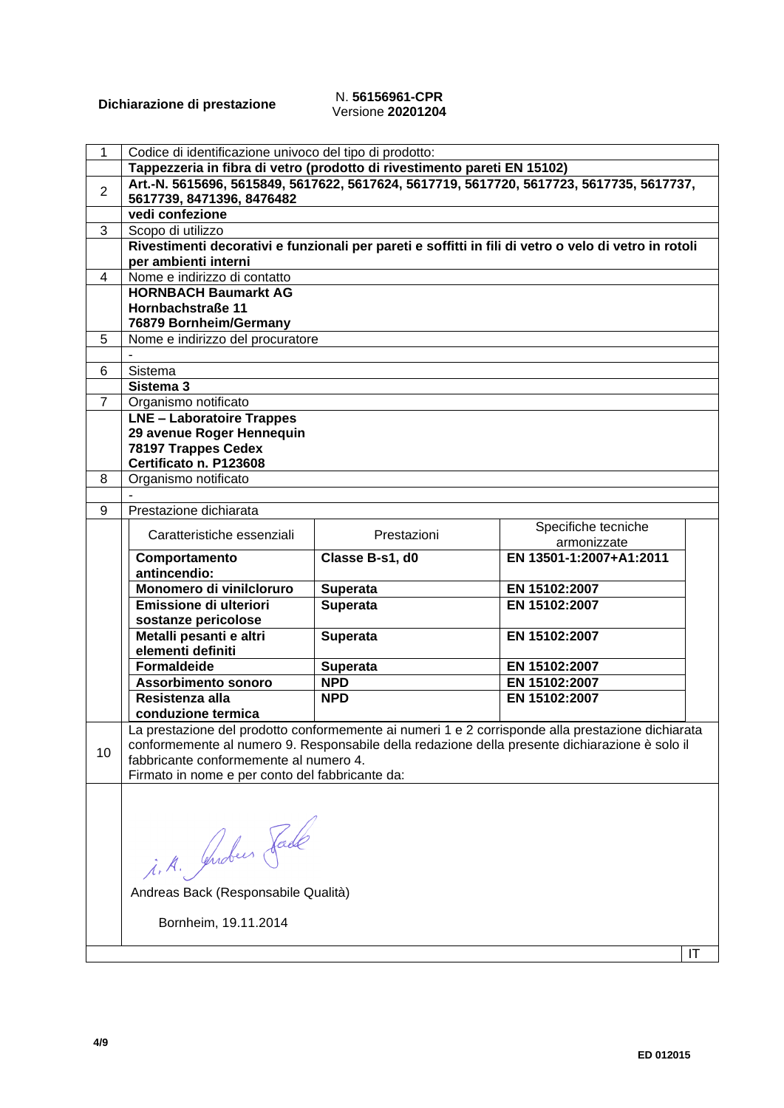#### **Dichiarazione di prestazione** N. **56156961-CPR** Versione **20201204**

| 1              | Codice di identificazione univoco del tipo di prodotto:                                  |                 |                                                                                                       |  |  |  |  |
|----------------|------------------------------------------------------------------------------------------|-----------------|-------------------------------------------------------------------------------------------------------|--|--|--|--|
|                | Tappezzeria in fibra di vetro (prodotto di rivestimento pareti EN 15102)                 |                 |                                                                                                       |  |  |  |  |
|                | Art.-N. 5615696, 5615849, 5617622, 5617624, 5617719, 5617720, 5617723, 5617735, 5617737, |                 |                                                                                                       |  |  |  |  |
| $\overline{2}$ | 5617739, 8471396, 8476482                                                                |                 |                                                                                                       |  |  |  |  |
|                | vedi confezione                                                                          |                 |                                                                                                       |  |  |  |  |
| 3              | Scopo di utilizzo                                                                        |                 |                                                                                                       |  |  |  |  |
|                |                                                                                          |                 | Rivestimenti decorativi e funzionali per pareti e soffitti in fili di vetro o velo di vetro in rotoli |  |  |  |  |
|                | per ambienti interni                                                                     |                 |                                                                                                       |  |  |  |  |
| 4              | Nome e indirizzo di contatto                                                             |                 |                                                                                                       |  |  |  |  |
|                | <b>HORNBACH Baumarkt AG</b>                                                              |                 |                                                                                                       |  |  |  |  |
|                | Hornbachstraße 11                                                                        |                 |                                                                                                       |  |  |  |  |
|                | 76879 Bornheim/Germany                                                                   |                 |                                                                                                       |  |  |  |  |
| 5              | Nome e indirizzo del procuratore                                                         |                 |                                                                                                       |  |  |  |  |
|                |                                                                                          |                 |                                                                                                       |  |  |  |  |
| 6              | Sistema                                                                                  |                 |                                                                                                       |  |  |  |  |
|                | Sistema 3                                                                                |                 |                                                                                                       |  |  |  |  |
| $\overline{7}$ |                                                                                          |                 |                                                                                                       |  |  |  |  |
|                | Organismo notificato<br><b>LNE - Laboratoire Trappes</b>                                 |                 |                                                                                                       |  |  |  |  |
|                | 29 avenue Roger Hennequin                                                                |                 |                                                                                                       |  |  |  |  |
|                | 78197 Trappes Cedex                                                                      |                 |                                                                                                       |  |  |  |  |
|                | Certificato n. P123608                                                                   |                 |                                                                                                       |  |  |  |  |
| 8              |                                                                                          |                 |                                                                                                       |  |  |  |  |
|                | Organismo notificato                                                                     |                 |                                                                                                       |  |  |  |  |
| 9              | Prestazione dichiarata                                                                   |                 |                                                                                                       |  |  |  |  |
|                |                                                                                          |                 |                                                                                                       |  |  |  |  |
|                | Caratteristiche essenziali                                                               | Prestazioni     | Specifiche tecniche<br>armonizzate                                                                    |  |  |  |  |
|                |                                                                                          | Classe B-s1, d0 | EN 13501-1:2007+A1:2011                                                                               |  |  |  |  |
|                | Comportamento<br>antincendio:                                                            |                 |                                                                                                       |  |  |  |  |
|                | Monomero di vinilcloruro                                                                 | <b>Superata</b> | EN 15102:2007                                                                                         |  |  |  |  |
|                | Emissione di ulteriori                                                                   | <b>Superata</b> | EN 15102:2007                                                                                         |  |  |  |  |
|                | sostanze pericolose                                                                      |                 |                                                                                                       |  |  |  |  |
|                | Metalli pesanti e altri                                                                  | <b>Superata</b> | EN 15102:2007                                                                                         |  |  |  |  |
|                | elementi definiti                                                                        |                 |                                                                                                       |  |  |  |  |
|                | <b>Formaldeide</b>                                                                       | <b>Superata</b> | EN 15102:2007                                                                                         |  |  |  |  |
|                | <b>Assorbimento sonoro</b>                                                               | <b>NPD</b>      | EN 15102:2007                                                                                         |  |  |  |  |
|                | Resistenza alla                                                                          | <b>NPD</b>      | EN 15102:2007                                                                                         |  |  |  |  |
|                | conduzione termica                                                                       |                 |                                                                                                       |  |  |  |  |
|                |                                                                                          |                 | a prestazione del prodotto conformemente ai numeri 1 e 2 corrisponde alla prestazione dichiarata.     |  |  |  |  |
|                |                                                                                          |                 | conformemente al numero 9. Responsabile della redazione della presente dichiarazione è solo il        |  |  |  |  |
| 10             | fabbricante conformemente al numero 4.                                                   |                 |                                                                                                       |  |  |  |  |
|                | Firmato in nome e per conto del fabbricante da:                                          |                 |                                                                                                       |  |  |  |  |
|                |                                                                                          |                 |                                                                                                       |  |  |  |  |
|                |                                                                                          |                 |                                                                                                       |  |  |  |  |
|                |                                                                                          |                 |                                                                                                       |  |  |  |  |
|                |                                                                                          |                 |                                                                                                       |  |  |  |  |
|                |                                                                                          |                 |                                                                                                       |  |  |  |  |
|                | i.A. Guden Fade                                                                          |                 |                                                                                                       |  |  |  |  |
|                |                                                                                          |                 |                                                                                                       |  |  |  |  |
|                | Andreas Back (Responsabile Qualità)                                                      |                 |                                                                                                       |  |  |  |  |
|                |                                                                                          |                 |                                                                                                       |  |  |  |  |
|                |                                                                                          |                 |                                                                                                       |  |  |  |  |
|                | Bornheim, 19.11.2014                                                                     |                 |                                                                                                       |  |  |  |  |
|                |                                                                                          |                 | IT                                                                                                    |  |  |  |  |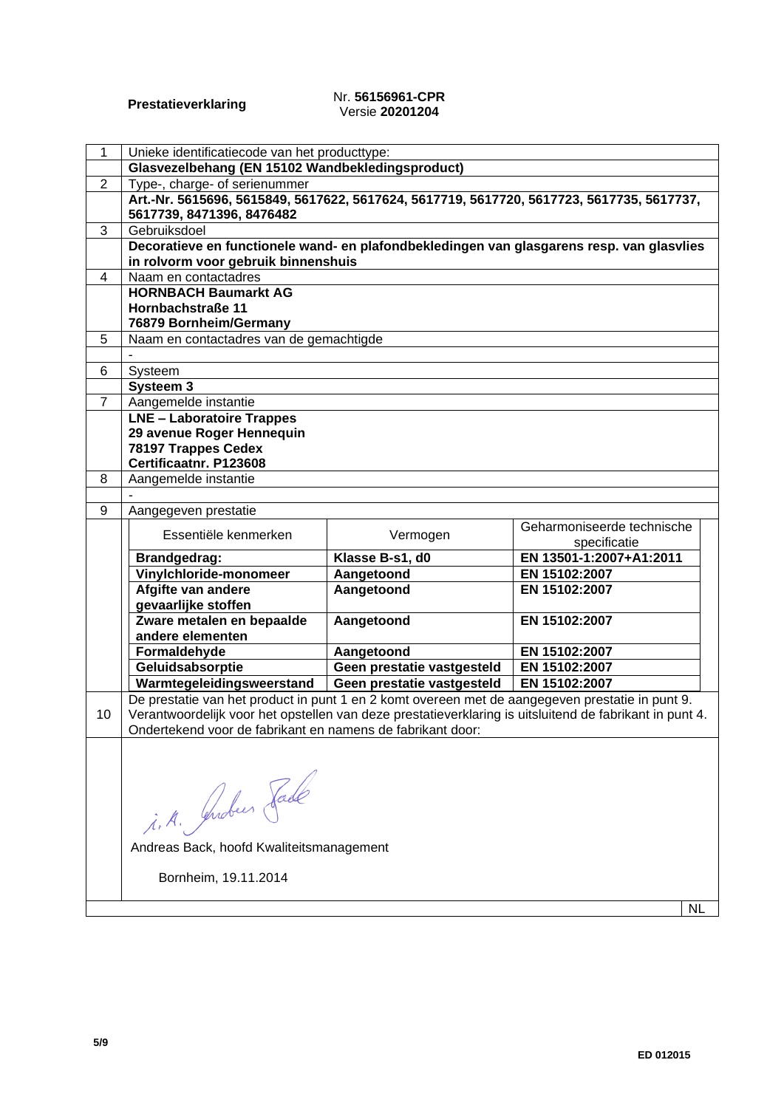#### **Prestatieverklaring** Nr. **56156961-CPR** Versie **20201204**

| 1              | Unieke identificatiecode van het producttype:                                                                                                                                                              |                            |                                            |  |
|----------------|------------------------------------------------------------------------------------------------------------------------------------------------------------------------------------------------------------|----------------------------|--------------------------------------------|--|
|                | Glasvezelbehang (EN 15102 Wandbekledingsproduct)                                                                                                                                                           |                            |                                            |  |
| $\overline{2}$ | Type-, charge- of serienummer                                                                                                                                                                              |                            |                                            |  |
|                | Art.-Nr. 5615696, 5615849, 5617622, 5617624, 5617719, 5617720, 5617723, 5617735, 5617737,<br>5617739, 8471396, 8476482                                                                                     |                            |                                            |  |
| 3              | Gebruiksdoel                                                                                                                                                                                               |                            |                                            |  |
|                | Decoratieve en functionele wand- en plafondbekledingen van glasgarens resp. van glasvlies                                                                                                                  |                            |                                            |  |
|                | in rolvorm voor gebruik binnenshuis                                                                                                                                                                        |                            |                                            |  |
| 4              | Naam en contactadres                                                                                                                                                                                       |                            |                                            |  |
|                | <b>HORNBACH Baumarkt AG</b>                                                                                                                                                                                |                            |                                            |  |
|                | Hornbachstraße 11                                                                                                                                                                                          |                            |                                            |  |
|                | 76879 Bornheim/Germany                                                                                                                                                                                     |                            |                                            |  |
| 5              | Naam en contactadres van de gemachtigde                                                                                                                                                                    |                            |                                            |  |
| 6              |                                                                                                                                                                                                            |                            |                                            |  |
|                | Systeem<br>Systeem 3                                                                                                                                                                                       |                            |                                            |  |
| $\overline{7}$ | Aangemelde instantie                                                                                                                                                                                       |                            |                                            |  |
|                | <b>LNE - Laboratoire Trappes</b>                                                                                                                                                                           |                            |                                            |  |
|                | 29 avenue Roger Hennequin                                                                                                                                                                                  |                            |                                            |  |
|                | 78197 Trappes Cedex                                                                                                                                                                                        |                            |                                            |  |
|                | Certificaatnr. P123608                                                                                                                                                                                     |                            |                                            |  |
| 8              | Aangemelde instantie                                                                                                                                                                                       |                            |                                            |  |
|                |                                                                                                                                                                                                            |                            |                                            |  |
| 9              | Aangegeven prestatie                                                                                                                                                                                       |                            |                                            |  |
|                | Essentiële kenmerken                                                                                                                                                                                       | Vermogen                   | Geharmoniseerde technische<br>specificatie |  |
|                | <b>Brandgedrag:</b>                                                                                                                                                                                        | Klasse B-s1, d0            | EN 13501-1:2007+A1:2011                    |  |
|                | Vinylchloride-monomeer                                                                                                                                                                                     | Aangetoond                 | EN 15102:2007                              |  |
|                | Afgifte van andere<br>gevaarlijke stoffen                                                                                                                                                                  | Aangetoond                 | EN 15102:2007                              |  |
|                | Zware metalen en bepaalde                                                                                                                                                                                  | Aangetoond                 | EN 15102:2007                              |  |
|                | andere elementen                                                                                                                                                                                           |                            |                                            |  |
|                | Formaldehyde                                                                                                                                                                                               | Aangetoond                 | EN 15102:2007                              |  |
|                | Geluidsabsorptie                                                                                                                                                                                           | Geen prestatie vastgesteld | EN 15102:2007                              |  |
|                | Warmtegeleidingsweerstand                                                                                                                                                                                  | Geen prestatie vastgesteld | EN 15102:2007                              |  |
| 10             | De prestatie van het product in punt 1 en 2 komt overeen met de aangegeven prestatie in punt 9.<br>Verantwoordelijk voor het opstellen van deze prestatieverklaring is uitsluitend de fabrikant in punt 4. |                            |                                            |  |
|                | Ondertekend voor de fabrikant en namens de fabrikant door:                                                                                                                                                 |                            |                                            |  |
|                |                                                                                                                                                                                                            |                            |                                            |  |
|                |                                                                                                                                                                                                            |                            |                                            |  |
|                |                                                                                                                                                                                                            |                            |                                            |  |
|                |                                                                                                                                                                                                            |                            |                                            |  |
|                |                                                                                                                                                                                                            |                            |                                            |  |
|                |                                                                                                                                                                                                            |                            |                                            |  |
|                | Andreas Back, hoofd Kwaliteitsmanagement                                                                                                                                                                   |                            |                                            |  |
|                |                                                                                                                                                                                                            |                            |                                            |  |
|                |                                                                                                                                                                                                            |                            |                                            |  |
|                | i. A. Juden Fade                                                                                                                                                                                           |                            |                                            |  |
|                | Bornheim, 19.11.2014                                                                                                                                                                                       |                            |                                            |  |

NL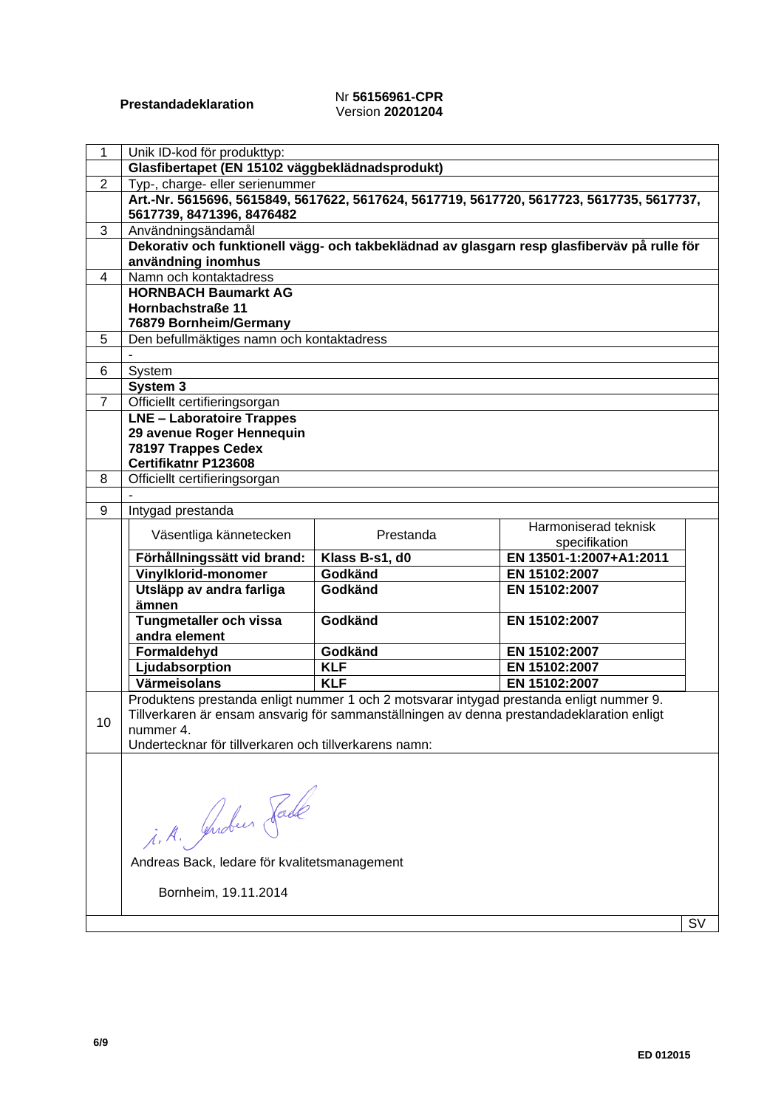#### **Prestandadeklaration** Nr **56156961-CPR** Version **20201204**

| 1              | Unik ID-kod för produkttyp:                                                                 |                           |                                |    |
|----------------|---------------------------------------------------------------------------------------------|---------------------------|--------------------------------|----|
|                | Glasfibertapet (EN 15102 väggbeklädnadsprodukt)                                             |                           |                                |    |
| $\overline{2}$ | Typ-, charge- eller serienummer                                                             |                           |                                |    |
|                | Art.-Nr. 5615696, 5615849, 5617622, 5617624, 5617719, 5617720, 5617723, 5617735, 5617737,   |                           |                                |    |
|                | 5617739, 8471396, 8476482                                                                   |                           |                                |    |
| 3              | Användningsändamål                                                                          |                           |                                |    |
|                | Dekorativ och funktionell vägg- och takbeklädnad av glasgarn resp glasfiberväv på rulle för |                           |                                |    |
|                | användning inomhus                                                                          |                           |                                |    |
| 4              | Namn och kontaktadress                                                                      |                           |                                |    |
|                | <b>HORNBACH Baumarkt AG</b>                                                                 |                           |                                |    |
|                | Hornbachstraße 11                                                                           |                           |                                |    |
|                | 76879 Bornheim/Germany                                                                      |                           |                                |    |
| 5              | Den befullmäktiges namn och kontaktadress                                                   |                           |                                |    |
|                |                                                                                             |                           |                                |    |
| 6              | System                                                                                      |                           |                                |    |
|                | System 3                                                                                    |                           |                                |    |
| $\overline{7}$ | Officiellt certifieringsorgan                                                               |                           |                                |    |
|                | <b>LNE - Laboratoire Trappes</b>                                                            |                           |                                |    |
|                | 29 avenue Roger Hennequin                                                                   |                           |                                |    |
|                | 78197 Trappes Cedex                                                                         |                           |                                |    |
|                | Certifikatnr P123608                                                                        |                           |                                |    |
| 8              | Officiellt certifieringsorgan                                                               |                           |                                |    |
|                |                                                                                             |                           |                                |    |
| 9              | Intygad prestanda                                                                           |                           |                                |    |
|                | Väsentliga kännetecken                                                                      | Prestanda                 | Harmoniserad teknisk           |    |
|                |                                                                                             |                           | specifikation                  |    |
|                | Förhållningssätt vid brand:                                                                 | Klass B-s1, d0<br>Godkänd | EN 13501-1:2007+A1:2011        |    |
|                | Vinylklorid-monomer                                                                         | Godkänd                   | EN 15102:2007<br>EN 15102:2007 |    |
|                | Utsläpp av andra farliga<br>ämnen                                                           |                           |                                |    |
|                | Tungmetaller och vissa                                                                      | Godkänd                   | EN 15102:2007                  |    |
|                | andra element                                                                               |                           |                                |    |
|                | Formaldehyd                                                                                 | Godkänd                   | EN 15102:2007                  |    |
|                | Ljudabsorption                                                                              | <b>KLF</b>                | EN 15102:2007                  |    |
|                | Värmeisolans                                                                                | <b>KLF</b>                | EN 15102:2007                  |    |
|                | Produktens prestanda enligt nummer 1 och 2 motsvarar intygad prestanda enligt nummer 9.     |                           |                                |    |
|                | Tillverkaren är ensam ansvarig för sammanställningen av denna prestandadeklaration enligt   |                           |                                |    |
| 10             | nummer 4.                                                                                   |                           |                                |    |
|                | Undertecknar för tillverkaren och tillverkarens namn:                                       |                           |                                |    |
|                |                                                                                             |                           |                                |    |
|                |                                                                                             |                           |                                |    |
|                |                                                                                             |                           |                                |    |
|                |                                                                                             |                           |                                |    |
|                |                                                                                             |                           |                                |    |
|                | i.A. Indees Fade                                                                            |                           |                                |    |
|                |                                                                                             |                           |                                |    |
|                | Andreas Back, ledare för kvalitetsmanagement                                                |                           |                                |    |
|                | Bornheim, 19.11.2014                                                                        |                           |                                |    |
|                |                                                                                             |                           |                                |    |
|                |                                                                                             |                           |                                | S٧ |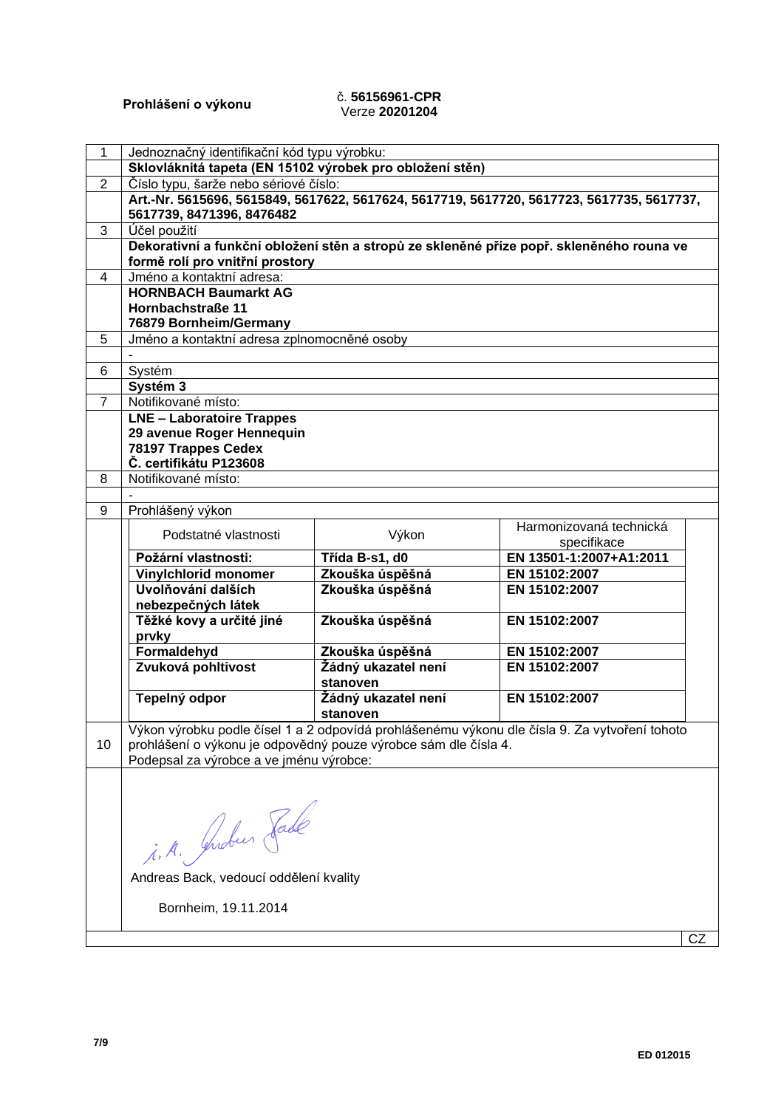### **Prohlášení o výkonu** č. **56156961-CPR** Verze **20201204**

| $\mathbf{1}$   | Jednoznačný identifikační kód typu výrobku:                     |                     |                                                                                               |    |
|----------------|-----------------------------------------------------------------|---------------------|-----------------------------------------------------------------------------------------------|----|
|                | Sklovláknitá tapeta (EN 15102 výrobek pro obložení stěn)        |                     |                                                                                               |    |
| $\overline{2}$ | Číslo typu, šarže nebo sériové číslo:                           |                     |                                                                                               |    |
|                |                                                                 |                     | Art.-Nr. 5615696, 5615849, 5617622, 5617624, 5617719, 5617720, 5617723, 5617735, 5617737,     |    |
|                | 5617739, 8471396, 8476482                                       |                     |                                                                                               |    |
| 3              | Účel použití                                                    |                     |                                                                                               |    |
|                |                                                                 |                     | Dekorativní a funkční obložení stěn a stropů ze skleněné příze popř. skleněného rouna ve      |    |
|                | formě rolí pro vnitřní prostory                                 |                     |                                                                                               |    |
| 4              | Jméno a kontaktní adresa:                                       |                     |                                                                                               |    |
|                | <b>HORNBACH Baumarkt AG</b>                                     |                     |                                                                                               |    |
|                | Hornbachstraße 11<br>76879 Bornheim/Germany                     |                     |                                                                                               |    |
| 5              | Jméno a kontaktní adresa zplnomocněné osoby                     |                     |                                                                                               |    |
|                |                                                                 |                     |                                                                                               |    |
| 6              | Systém                                                          |                     |                                                                                               |    |
|                | Systém 3                                                        |                     |                                                                                               |    |
| $\overline{7}$ | Notifikované místo:                                             |                     |                                                                                               |    |
|                | <b>LNE - Laboratoire Trappes</b>                                |                     |                                                                                               |    |
|                | 29 avenue Roger Hennequin                                       |                     |                                                                                               |    |
|                | 78197 Trappes Cedex                                             |                     |                                                                                               |    |
|                | Č. certifikátu P123608                                          |                     |                                                                                               |    |
| 8              | Notifikované místo:                                             |                     |                                                                                               |    |
|                |                                                                 |                     |                                                                                               |    |
| 9              | Prohlášený výkon                                                |                     |                                                                                               |    |
|                | Podstatné vlastnosti                                            | Výkon               | Harmonizovaná technická                                                                       |    |
|                |                                                                 |                     | specifikace                                                                                   |    |
|                | Požární vlastnosti:                                             | Třída B-s1, d0      | EN 13501-1:2007+A1:2011                                                                       |    |
|                | Vinylchlorid monomer                                            | Zkouška úspěšná     | EN 15102:2007                                                                                 |    |
|                | Uvolňování dalších                                              | Zkouška úspěšná     | EN 15102:2007                                                                                 |    |
|                | nebezpečných látek                                              |                     |                                                                                               |    |
|                | Těžké kovy a určité jiné<br>prvky                               | Zkouška úspěšná     | EN 15102:2007                                                                                 |    |
|                | Formaldehyd                                                     | Zkouška úspěšná     | EN 15102:2007                                                                                 |    |
|                | Zvuková pohltivost                                              | Žádný ukazatel není | EN 15102:2007                                                                                 |    |
|                |                                                                 | stanoven            |                                                                                               |    |
|                | Tepelný odpor                                                   | Žádný ukazatel není | EN 15102:2007                                                                                 |    |
|                |                                                                 | stanoven            |                                                                                               |    |
|                |                                                                 |                     | Výkon výrobku podle čísel 1 a 2 odpovídá prohlášenému výkonu dle čísla 9. Za vytvoření tohoto |    |
| 10             | prohlášení o výkonu je odpovědný pouze výrobce sám dle čísla 4. |                     |                                                                                               |    |
|                | Podepsal za výrobce a ve jménu výrobce:                         |                     |                                                                                               |    |
|                |                                                                 |                     |                                                                                               |    |
|                |                                                                 |                     |                                                                                               |    |
|                |                                                                 |                     |                                                                                               |    |
|                |                                                                 |                     |                                                                                               |    |
|                | i. A. Juden Fade                                                |                     |                                                                                               |    |
|                |                                                                 |                     |                                                                                               |    |
|                | Andreas Back, vedoucí oddělení kvality                          |                     |                                                                                               |    |
|                |                                                                 |                     |                                                                                               |    |
|                | Bornheim, 19.11.2014                                            |                     |                                                                                               |    |
|                |                                                                 |                     |                                                                                               |    |
|                |                                                                 |                     |                                                                                               | CZ |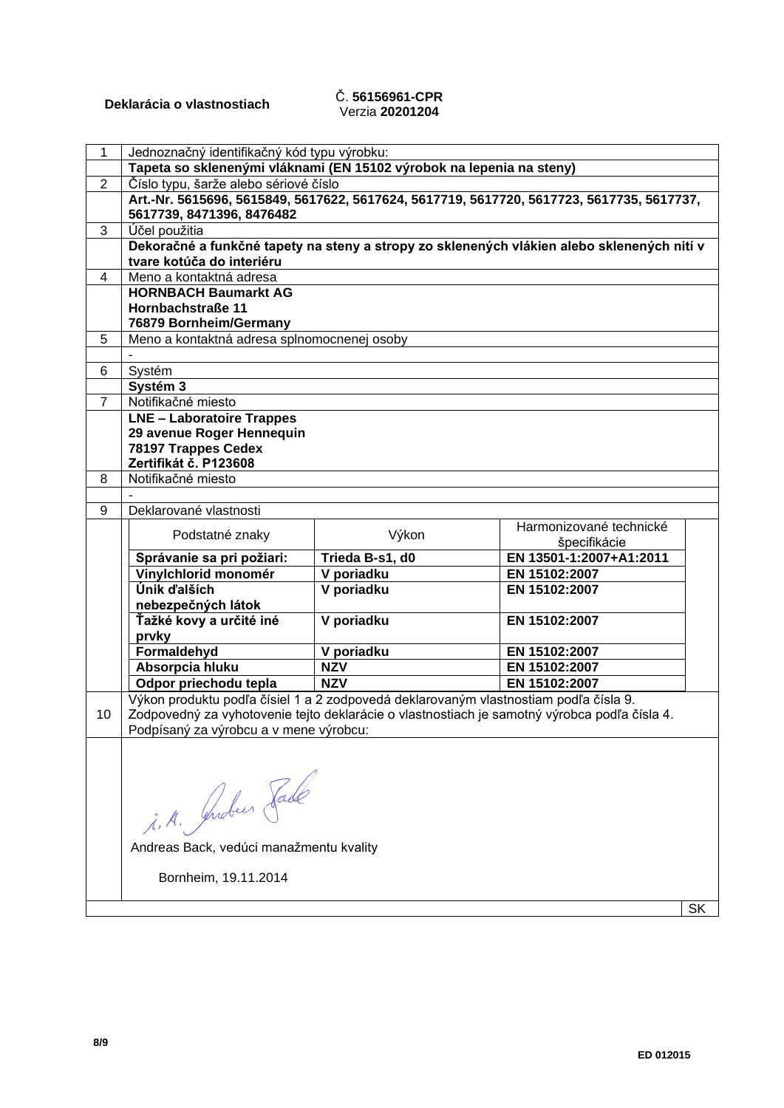# Verzia **20201204**

| 1              | Jednoznačný identifikačný kód typu výrobku:                                          |                 |                                                                                              |  |
|----------------|--------------------------------------------------------------------------------------|-----------------|----------------------------------------------------------------------------------------------|--|
|                | Tapeta so sklenenými vláknami (EN 15102 výrobok na lepenia na steny)                 |                 |                                                                                              |  |
| $\overline{2}$ | Číslo typu, šarže alebo sériové číslo                                                |                 |                                                                                              |  |
|                |                                                                                      |                 | Art.-Nr. 5615696, 5615849, 5617622, 5617624, 5617719, 5617720, 5617723, 5617735, 5617737,    |  |
|                | 5617739, 8471396, 8476482                                                            |                 |                                                                                              |  |
| 3              | Účel použitia                                                                        |                 |                                                                                              |  |
|                |                                                                                      |                 | Dekoračné a funkčné tapety na steny a stropy zo sklenených vlákien alebo sklenených nití v   |  |
|                | tvare kotúča do interiéru                                                            |                 |                                                                                              |  |
| 4              | Meno a kontaktná adresa                                                              |                 |                                                                                              |  |
|                | <b>HORNBACH Baumarkt AG</b>                                                          |                 |                                                                                              |  |
|                | Hornbachstraße 11                                                                    |                 |                                                                                              |  |
|                | 76879 Bornheim/Germany                                                               |                 |                                                                                              |  |
| 5              | Meno a kontaktná adresa splnomocnenej osoby                                          |                 |                                                                                              |  |
|                |                                                                                      |                 |                                                                                              |  |
| 6              | Systém                                                                               |                 |                                                                                              |  |
|                | Systém 3                                                                             |                 |                                                                                              |  |
| $\overline{7}$ | Notifikačné miesto                                                                   |                 |                                                                                              |  |
|                | <b>LNE - Laboratoire Trappes</b>                                                     |                 |                                                                                              |  |
|                | 29 avenue Roger Hennequin                                                            |                 |                                                                                              |  |
|                | 78197 Trappes Cedex                                                                  |                 |                                                                                              |  |
|                | Zertifikát č. P123608                                                                |                 |                                                                                              |  |
| 8              | Notifikačné miesto                                                                   |                 |                                                                                              |  |
|                |                                                                                      |                 |                                                                                              |  |
| 9              | Deklarované vlastnosti                                                               |                 |                                                                                              |  |
|                | Podstatné znaky                                                                      | Výkon           | Harmonizované technické                                                                      |  |
|                |                                                                                      |                 | špecifikácie                                                                                 |  |
|                | Správanie sa pri požiari:                                                            | Trieda B-s1, d0 | EN 13501-1:2007+A1:2011                                                                      |  |
|                | Vinylchlorid monomér                                                                 | V poriadku      | EN 15102:2007                                                                                |  |
|                | Únik ďalších                                                                         | V poriadku      | EN 15102:2007                                                                                |  |
|                | nebezpečných látok                                                                   |                 |                                                                                              |  |
|                | Ťažké kovy a určité iné                                                              | V poriadku      | EN 15102:2007                                                                                |  |
|                | prvky                                                                                |                 |                                                                                              |  |
|                | Formaldehyd                                                                          | V poriadku      | EN 15102:2007                                                                                |  |
|                | Absorpcia hluku                                                                      | <b>NZV</b>      | EN 15102:2007                                                                                |  |
|                | Odpor priechodu tepla                                                                | <b>NZV</b>      | EN 15102:2007                                                                                |  |
|                | Výkon produktu podľa čísiel 1 a 2 zodpovedá deklarovaným vlastnostiam podľa čísla 9. |                 |                                                                                              |  |
| 10             |                                                                                      |                 | Zodpovedný za vyhotovenie tejto deklarácie o vlastnostiach je samotný výrobca podľa čísla 4. |  |
|                | Podpísaný za výrobcu a v mene výrobcu:                                               |                 |                                                                                              |  |
|                |                                                                                      |                 |                                                                                              |  |
|                |                                                                                      |                 |                                                                                              |  |
|                |                                                                                      |                 |                                                                                              |  |
|                |                                                                                      |                 |                                                                                              |  |
|                |                                                                                      |                 |                                                                                              |  |
|                | i.A. Gendeur Fade                                                                    |                 |                                                                                              |  |
|                | Andreas Back, vedúci manažmentu kvality                                              |                 |                                                                                              |  |
|                |                                                                                      |                 |                                                                                              |  |
|                | Bornheim, 19.11.2014                                                                 |                 |                                                                                              |  |
|                |                                                                                      |                 |                                                                                              |  |

 $|SK|$